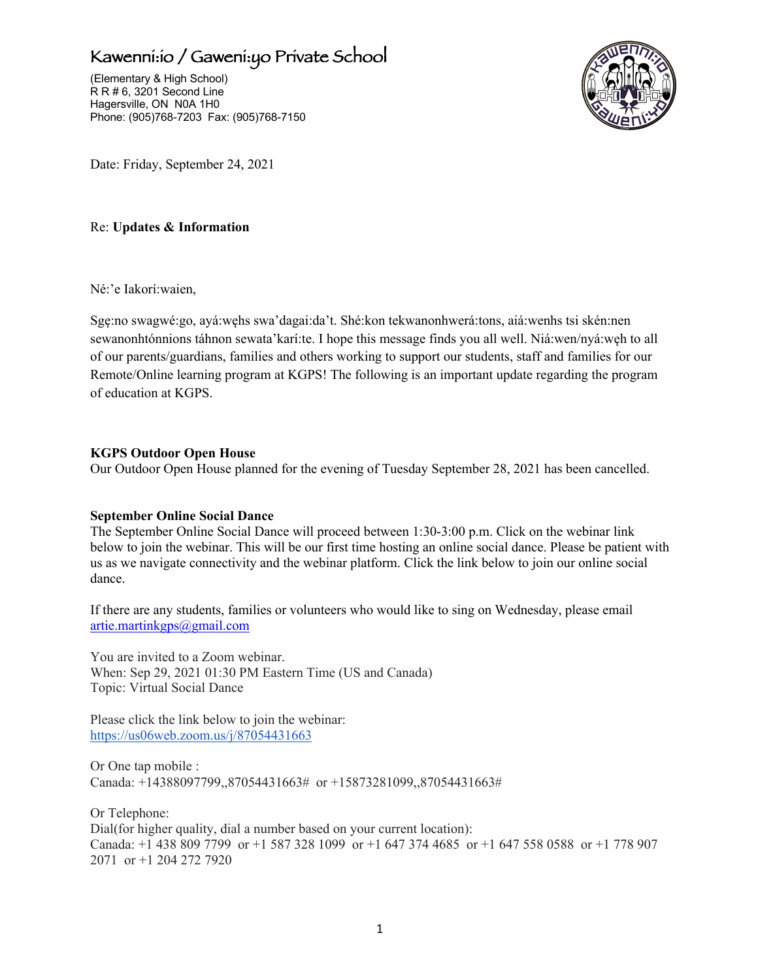## Kawenni:io / Gaweni:yo Private School

(Elementary & High School) R R # 6, 3201 Second Line Hagersville, ON N0A 1H0 Phone: (905)768-7203 Fax: (905)768-7150



Date: Friday, September 24, 2021

#### Re: **Updates & Information**

Né:'e Iakorí:waien,

Sgę:no swagwé:go, ayá:węhs swa'dagai:da't. Shé:kon tekwanonhwerá:tons, aiá:wenhs tsi skén:nen sewanonhtónnions táhnon sewata'karí:te. I hope this message finds you all well. Niá:wen/nyá:węh to all of our parents/guardians, families and others working to support our students, staff and families for our Remote/Online learning program at KGPS! The following is an important update regarding the program of education at KGPS.

#### **KGPS Outdoor Open House**

Our Outdoor Open House planned for the evening of Tuesday September 28, 2021 has been cancelled.

#### **September Online Social Dance**

The September Online Social Dance will proceed between 1:30-3:00 p.m. Click on the webinar link below to join the webinar. This will be our first time hosting an online social dance. Please be patient with us as we navigate connectivity and the webinar platform. Click the link below to join our online social dance.

If there are any students, families or volunteers who would like to sing on Wednesday, please email artie.martinkgps@gmail.com

You are invited to a Zoom webinar. When: Sep 29, 2021 01:30 PM Eastern Time (US and Canada) Topic: Virtual Social Dance

Please click the link below to join the webinar: https://us06web.zoom.us/j/87054431663

Or One tap mobile : Canada: +14388097799,,87054431663# or +15873281099,,87054431663#

Or Telephone: Dial(for higher quality, dial a number based on your current location): Canada: +1 438 809 7799 or +1 587 328 1099 or +1 647 374 4685 or +1 647 558 0588 or +1 778 907 2071 or +1 204 272 7920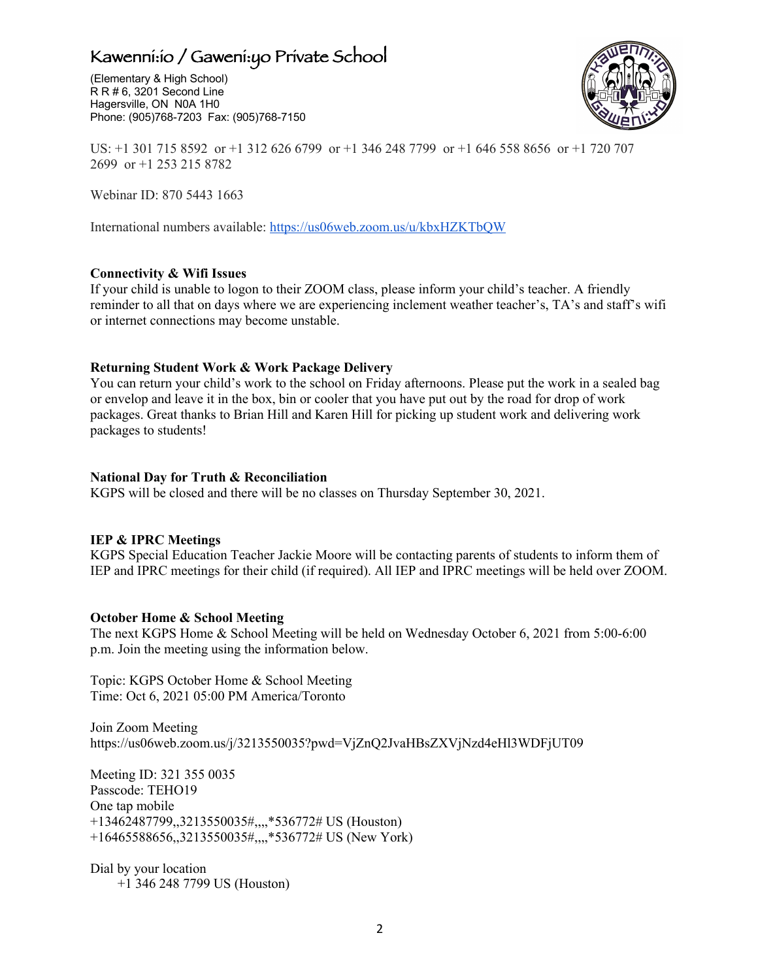## Kawenni:io / Gaweni:yo Private School

(Elementary & High School) R R # 6, 3201 Second Line Hagersville, ON N0A 1H0 Phone: (905)768-7203 Fax: (905)768-7150



US: +1 301 715 8592 or +1 312 626 6799 or +1 346 248 7799 or +1 646 558 8656 or +1 720 707 2699 or +1 253 215 8782

Webinar ID: 870 5443 1663

International numbers available: https://us06web.zoom.us/u/kbxHZKTbQW

#### **Connectivity & Wifi Issues**

If your child is unable to logon to their ZOOM class, please inform your child's teacher. A friendly reminder to all that on days where we are experiencing inclement weather teacher's, TA's and staff's wifi or internet connections may become unstable.

#### **Returning Student Work & Work Package Delivery**

You can return your child's work to the school on Friday afternoons. Please put the work in a sealed bag or envelop and leave it in the box, bin or cooler that you have put out by the road for drop of work packages. Great thanks to Brian Hill and Karen Hill for picking up student work and delivering work packages to students!

#### **National Day for Truth & Reconciliation**

KGPS will be closed and there will be no classes on Thursday September 30, 2021.

#### **IEP & IPRC Meetings**

KGPS Special Education Teacher Jackie Moore will be contacting parents of students to inform them of IEP and IPRC meetings for their child (if required). All IEP and IPRC meetings will be held over ZOOM.

#### **October Home & School Meeting**

The next KGPS Home & School Meeting will be held on Wednesday October 6, 2021 from 5:00-6:00 p.m. Join the meeting using the information below.

Topic: KGPS October Home & School Meeting Time: Oct 6, 2021 05:00 PM America/Toronto

Join Zoom Meeting https://us06web.zoom.us/j/3213550035?pwd=VjZnQ2JvaHBsZXVjNzd4eHl3WDFjUT09

Meeting ID: 321 355 0035 Passcode: TEHO19 One tap mobile +13462487799,,3213550035#,,,,\*536772# US (Houston) +16465588656,,3213550035#,,,,\*536772# US (New York)

Dial by your location +1 346 248 7799 US (Houston)